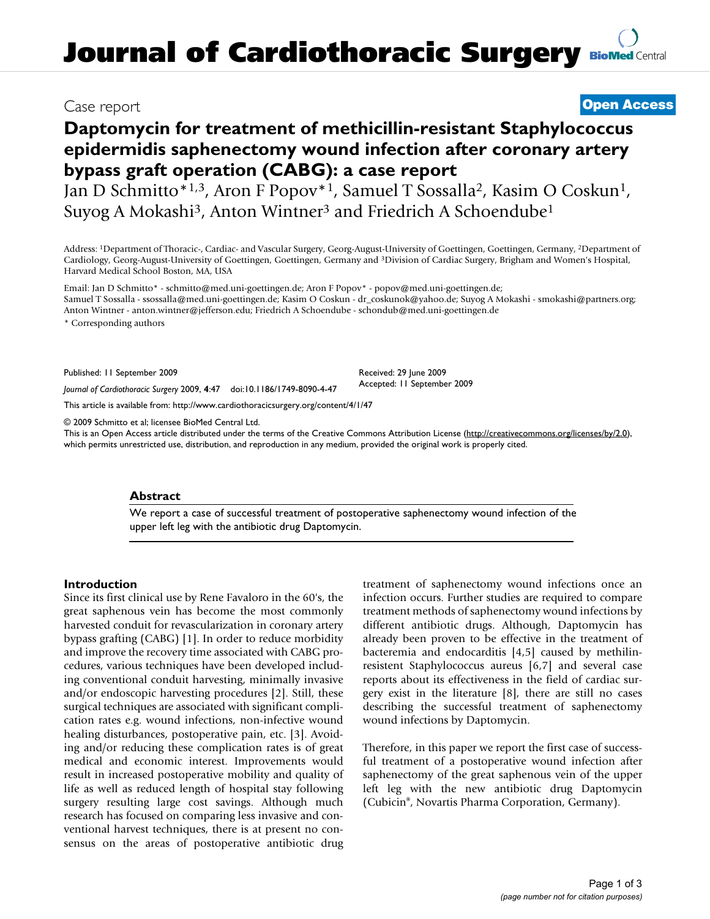# **Daptomycin for treatment of methicillin-resistant Staphylococcus epidermidis saphenectomy wound infection after coronary artery bypass graft operation (CABG): a case report**

Jan D Schmitto\*1,3, Aron F Popov\*1, Samuel T Sossalla2, Kasim O Coskun1, Suyog A Mokashi<sup>3</sup>, Anton Wintner<sup>3</sup> and Friedrich A Schoendube<sup>1</sup>

Address: 1Department of Thoracic-, Cardiac- and Vascular Surgery, Georg-August-University of Goettingen, Goettingen, Germany, 2Department of Cardiology, Georg-August-University of Goettingen, Goettingen, Germany and 3Division of Cardiac Surgery, Brigham and Women's Hospital, Harvard Medical School Boston, MA, USA

Email: Jan D Schmitto\* - schmitto@med.uni-goettingen.de; Aron F Popov\* - popov@med.uni-goettingen.de; Samuel T Sossalla - ssossalla@med.uni-goettingen.de; Kasim O Coskun - dr\_coskunok@yahoo.de; Suyog A Mokashi - smokashi@partners.org; Anton Wintner - anton.wintner@jefferson.edu; Friedrich A Schoendube - schondub@med.uni-goettingen.de

\* Corresponding authors

Published: 11 September 2009

*Journal of Cardiothoracic Surgery* 2009, **4**:47 doi:10.1186/1749-8090-4-47

[This article is available from: http://www.cardiothoracicsurgery.org/content/4/1/47](http://www.cardiothoracicsurgery.org/content/4/1/47)

© 2009 Schmitto et al; licensee BioMed Central Ltd.

This is an Open Access article distributed under the terms of the Creative Commons Attribution License [\(http://creativecommons.org/licenses/by/2.0\)](http://creativecommons.org/licenses/by/2.0), which permits unrestricted use, distribution, and reproduction in any medium, provided the original work is properly cited.

#### **Abstract**

We report a case of successful treatment of postoperative saphenectomy wound infection of the upper left leg with the antibiotic drug Daptomycin.

#### **Introduction**

Since its first clinical use by Rene Favaloro in the 60's, the great saphenous vein has become the most commonly harvested conduit for revascularization in coronary artery bypass grafting (CABG) [1]. In order to reduce morbidity and improve the recovery time associated with CABG procedures, various techniques have been developed including conventional conduit harvesting, minimally invasive and/or endoscopic harvesting procedures [2]. Still, these surgical techniques are associated with significant complication rates e.g. wound infections, non-infective wound healing disturbances, postoperative pain, etc. [3]. Avoiding and/or reducing these complication rates is of great medical and economic interest. Improvements would result in increased postoperative mobility and quality of life as well as reduced length of hospital stay following surgery resulting large cost savings. Although much research has focused on comparing less invasive and conventional harvest techniques, there is at present no consensus on the areas of postoperative antibiotic drug treatment of saphenectomy wound infections once an infection occurs. Further studies are required to compare treatment methods of saphenectomy wound infections by different antibiotic drugs. Although, Daptomycin has already been proven to be effective in the treatment of bacteremia and endocarditis [4,5] caused by methilinresistent Staphylococcus aureus [6,7] and several case reports about its effectiveness in the field of cardiac surgery exist in the literature [8], there are still no cases describing the successful treatment of saphenectomy wound infections by Daptomycin.

Therefore, in this paper we report the first case of successful treatment of a postoperative wound infection after saphenectomy of the great saphenous vein of the upper left leg with the new antibiotic drug Daptomycin (Cubicin®, Novartis Pharma Corporation, Germany).

## Case report **[Open Access](http://www.biomedcentral.com/info/about/charter/)**

Received: 29 June 2009 Accepted: 11 September 2009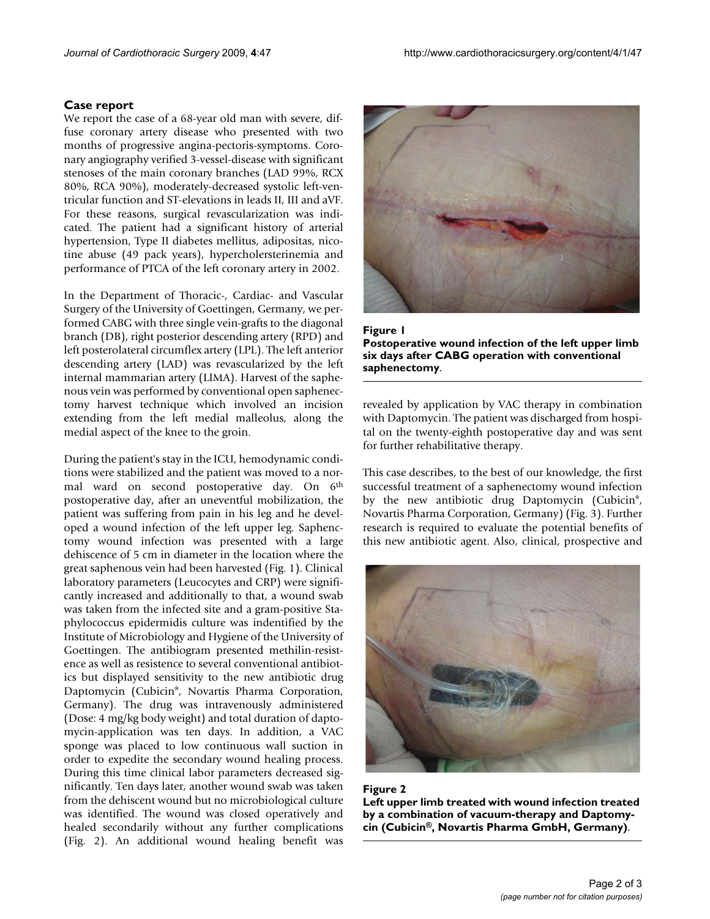#### **Case report**

We report the case of a 68-year old man with severe, diffuse coronary artery disease who presented with two months of progressive angina-pectoris-symptoms. Coronary angiography verified 3-vessel-disease with significant stenoses of the main coronary branches (LAD 99%, RCX 80%, RCA 90%), moderately-decreased systolic left-ventricular function and ST-elevations in leads II, III and aVF. For these reasons, surgical revascularization was indicated. The patient had a significant history of arterial hypertension, Type II diabetes mellitus, adipositas, nicotine abuse (49 pack years), hypercholersterinemia and performance of PTCA of the left coronary artery in 2002.

In the Department of Thoracic-, Cardiac- and Vascular Surgery of the University of Goettingen, Germany, we performed CABG with three single vein-grafts to the diagonal branch (DB), right posterior descending artery (RPD) and left posterolateral circumflex artery (LPL). The left anterior descending artery (LAD) was revascularized by the left internal mammarian artery (LIMA). Harvest of the saphenous vein was performed by conventional open saphenectomy harvest technique which involved an incision extending from the left medial malleolus, along the medial aspect of the knee to the groin.

During the patient's stay in the ICU, hemodynamic conditions were stabilized and the patient was moved to a normal ward on second postoperative day. On 6<sup>th</sup> postoperative day, after an uneventful mobilization, the patient was suffering from pain in his leg and he developed a wound infection of the left upper leg. Saphenctomy wound infection was presented with a large dehiscence of 5 cm in diameter in the location where the great saphenous vein had been harvested (Fig. 1). Clinical laboratory parameters (Leucocytes and CRP) were significantly increased and additionally to that, a wound swab was taken from the infected site and a gram-positive Staphylococcus epidermidis culture was indentified by the Institute of Microbiology and Hygiene of the University of Goettingen. The antibiogram presented methilin-resistence as well as resistence to several conventional antibiotics but displayed sensitivity to the new antibiotic drug Daptomycin (Cubicin®, Novartis Pharma Corporation, Germany). The drug was intravenously administered (Dose: 4 mg/kg body weight) and total duration of daptomycin-application was ten days. In addition, a VAC sponge was placed to low continuous wall suction in order to expedite the secondary wound healing process. During this time clinical labor parameters decreased significantly. Ten days later, another wound swab was taken from the dehiscent wound but no microbiological culture was identified. The wound was closed operatively and healed secondarily without any further complications (Fig. 2). An additional wound healing benefit was



Figure 1 **Postoperative wound infection of the left upper limb six days after CABG operation with conventional saphenectomy**.

revealed by application by VAC therapy in combination with Daptomycin. The patient was discharged from hospital on the twenty-eighth postoperative day and was sent for further rehabilitative therapy.

This case describes, to the best of our knowledge, the first successful treatment of a saphenectomy wound infection by the new antibiotic drug Daptomycin (Cubicin®, Novartis Pharma Corporation, Germany) (Fig. 3). Further research is required to evaluate the potential benefits of this new antibiotic agent. Also, clinical, prospective and



#### Figure 2

**Left upper limb treated with wound infection treated by a combination of vacuum-therapy and Daptomycin (Cubicin®, Novartis Pharma GmbH, Germany)**.